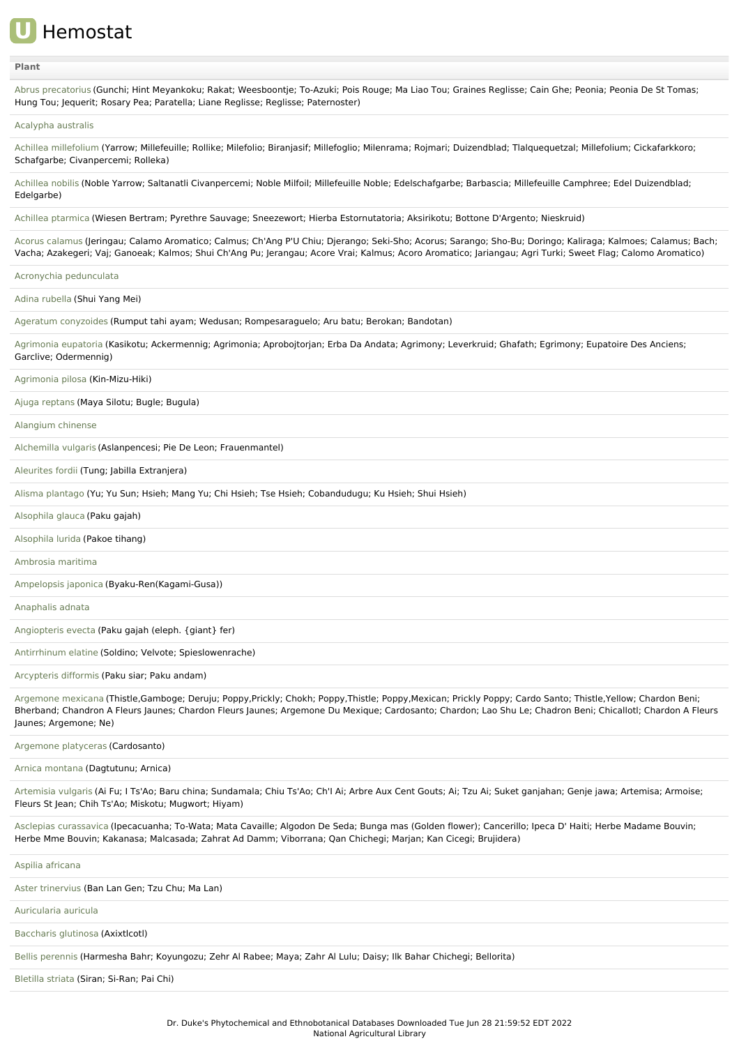

### **[Plant](file:///phytochem/ethnoActivity/ethnoActivityListAll?max=&offset=0&count=&filter=&sort=plant&order=asc)**

Abrus [precatorius](file:///phytochem/ethnoPlants/show/132) (Gunchi; Hint Meyankoku; Rakat; Weesboontje; To-Azuki; Pois Rouge; Ma Liao Tou; Graines Reglisse; Cain Ghe; Peonia; Peonia De St Tomas; Hung Tou; Jequerit; Rosary Pea; Paratella; Liane Reglisse; Reglisse; Paternoster)

#### [Acalypha](file:///phytochem/ethnoPlants/show/1129) australis

Achillea [millefolium](file:///phytochem/ethnoPlants/show/1) (Yarrow; Millefeuille; Rollike; Milefolio; Biranjasif; Millefoglio; Milenrama; Rojmari; Duizendblad; Tlalquequetzal; Millefolium; Cickafarkkoro; Schafgarbe; Civanpercemi; Rolleka)

[Achillea](file:///phytochem/ethnoPlants/show/2900) nobilis (Noble Yarrow; Saltanatli Civanpercemi; Noble Milfoil; Millefeuille Noble; Edelschafgarbe; Barbascia; Millefeuille Camphree; Edel Duizendblad; Edelgarbe)

Achillea [ptarmica](file:///phytochem/ethnoPlants/show/554) (Wiesen Bertram; Pyrethre Sauvage; Sneezewort; Hierba Estornutatoria; Aksirikotu; Bottone D'Argento; Nieskruid)

Acorus [calamus](file:///phytochem/ethnoPlants/show/133) (Jeringau; Calamo Aromatico; Calmus; Ch'Ang P'U Chiu; Djerango; Seki-Sho; Acorus; Sarango; Sho-Bu; Doringo; Kaliraga; Kalmoes; Calamus; Bach; Vacha; Azakegeri; Vaj; Ganoeak; Kalmos; Shui Ch'Ang Pu; Jerangau; Acore Vrai; Kalmus; Acoro Aromatico; Jariangau; Agri Turki; Sweet Flag; Calomo Aromatico)

Acronychia [pedunculata](file:///phytochem/ethnoPlants/show/1859)

Adina [rubella](file:///phytochem/ethnoPlants/show/4418) (Shui Yang Mei)

Ageratum [conyzoides](file:///phytochem/ethnoPlants/show/8) (Rumput tahi ayam; Wedusan; Rompesaraguelo; Aru batu; Berokan; Bandotan)

[Agrimonia](file:///phytochem/ethnoPlants/show/2906) eupatoria (Kasikotu; Ackermennig; Agrimonia; Aprobojtorjan; Erba Da Andata; Agrimony; Leverkruid; Ghafath; Egrimony; Eupatoire Des Anciens; Garclive; Odermennig)

[Agrimonia](file:///phytochem/ethnoPlants/show/9) pilosa (Kin-Mizu-Hiki)

Ajuga [reptans](file:///phytochem/ethnoPlants/show/2909) (Maya Silotu; Bugle; Bugula)

[Alangium](file:///phytochem/ethnoPlants/show/3506) chinense

[Alchemilla](file:///phytochem/ethnoPlants/show/2912) vulgaris (Aslanpencesi; Pie De Leon; Frauenmantel)

[Aleurites](file:///phytochem/ethnoPlants/show/3994) fordii (Tung; Jabilla Extranjera)

Alisma [plantago](file:///phytochem/ethnoPlants/show/2620) (Yu; Yu Sun; Hsieh; Mang Yu; Chi Hsieh; Tse Hsieh; Cobandudugu; Ku Hsieh; Shui Hsieh)

[Alsophila](file:///phytochem/ethnoPlants/show/7617) glauca (Paku gajah)

[Alsophila](file:///phytochem/ethnoPlants/show/12155) lurida (Pakoe tihang)

[Ambrosia](file:///phytochem/ethnoPlants/show/7618) maritima

[Ampelopsis](file:///phytochem/ethnoPlants/show/1024) japonica (Byaku-Ren(Kagami-Gusa))

[Anaphalis](file:///phytochem/ethnoPlants/show/7619) adnata

[Angiopteris](file:///phytochem/ethnoPlants/show/3859) evecta (Paku gajah (eleph. {giant} fer)

[Antirrhinum](file:///phytochem/ethnoPlants/show/5595) elatine (Soldino; Velvote; Spieslowenrache)

[Arcypteris](file:///phytochem/ethnoPlants/show/5957) difformis (Paku siar; Paku andam)

[Argemone](file:///phytochem/ethnoPlants/show/569) mexicana (Thistle,Gamboge; Deruju; Poppy,Prickly; Chokh; Poppy,Thistle; Poppy,Mexican; Prickly Poppy; Cardo Santo; Thistle,Yellow; Chardon Beni; Bherband; Chandron A Fleurs Jaunes; Chardon Fleurs Jaunes; Argemone Du Mexique; Cardosanto; Chardon; Lao Shu Le; Chadron Beni; Chicallotl; Chardon A Fleurs Jaunes; Argemone; Ne)

[Argemone](file:///phytochem/ethnoPlants/show/1591) platyceras (Cardosanto)

Arnica [montana](file:///phytochem/ethnoPlants/show/4105) (Dagtutunu; Arnica)

[Artemisia](file:///phytochem/ethnoPlants/show/1390) vulgaris (Ai Fu; I Ts'Ao; Baru china; Sundamala; Chiu Ts'Ao; Ch'I Ai; Arbre Aux Cent Gouts; Ai; Tzu Ai; Suket ganjahan; Genje jawa; Artemisa; Armoise; Fleurs St Jean; Chih Ts'Ao; Miskotu; Mugwort; Hiyam)

Asclepias [curassavica](file:///phytochem/ethnoPlants/show/1059) (Ipecacuanha; To-Wata; Mata Cavaille; Algodon De Seda; Bunga mas (Golden flower); Cancerillo; Ipeca D' Haiti; Herbe Madame Bouvin; Herbe Mme Bouvin; Kakanasa; Malcasada; Zahrat Ad Damm; Viborrana; Qan Chichegi; Marjan; Kan Cicegi; Brujidera)

Aspilia [africana](file:///phytochem/ethnoPlants/show/578)

Aster [trinervius](file:///phytochem/ethnoPlants/show/1135) (Ban Lan Gen; Tzu Chu; Ma Lan)

[Auricularia](file:///phytochem/ethnoPlants/show/6394) auricula

[Baccharis](file:///phytochem/ethnoPlants/show/5138) glutinosa (Axixtlcotl)

Bellis [perennis](file:///phytochem/ethnoPlants/show/3735) (Harmesha Bahr; Koyungozu; Zehr Al Rabee; Maya; Zahr Al Lulu; Daisy; Ilk Bahar Chichegi; Bellorita)

[Bletilla](file:///phytochem/ethnoPlants/show/291) striata (Siran; Si-Ran; Pai Chi)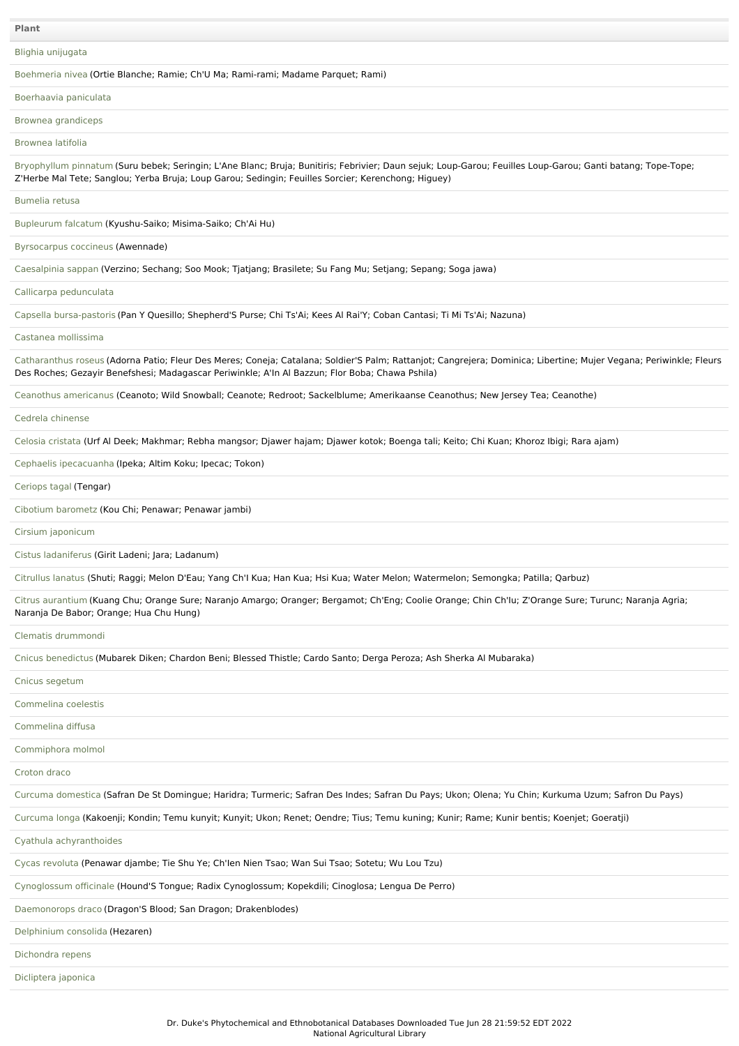**Plant**

Blighia [unijugata](file:///phytochem/ethnoPlants/show/7045)

[Boehmeria](file:///phytochem/ethnoPlants/show/1605) nivea (Ortie Blanche; Ramie; Ch'U Ma; Rami-rami; Madame Parquet; Rami)

[Boerhaavia](file:///phytochem/ethnoPlants/show/7620) paniculata

Brownea [grandiceps](file:///phytochem/ethnoPlants/show/2945)

[Brownea](file:///phytochem/ethnoPlants/show/144) latifolia

[Bryophyllum](file:///phytochem/ethnoPlants/show/483) pinnatum (Suru bebek; Seringin; L'Ane Blanc; Bruja; Bunitiris; Febrivier; Daun sejuk; Loup-Garou; Feuilles Loup-Garou; Ganti batang; Tope-Tope; Z'Herbe Mal Tete; Sanglou; Yerba Bruja; Loup Garou; Sedingin; Feuilles Sorcier; Kerenchong; Higuey)

[Bumelia](file:///phytochem/ethnoPlants/show/7621) retusa

[Bupleurum](file:///phytochem/ethnoPlants/show/27) falcatum (Kyushu-Saiko; Misima-Saiko; Ch'Ai Hu)

[Byrsocarpus](file:///phytochem/ethnoPlants/show/485) coccineus (Awennade)

[Caesalpinia](file:///phytochem/ethnoPlants/show/2171) sappan (Verzino; Sechang; Soo Mook; Tjatjang; Brasilete; Su Fang Mu; Setjang; Sepang; Soga jawa)

Callicarpa [pedunculata](file:///phytochem/ethnoPlants/show/1450)

Capsella [bursa-pastoris](file:///phytochem/ethnoPlants/show/2288) (Pan Y Quesillo; Shepherd'S Purse; Chi Ts'Ai; Kees Al Rai'Y; Coban Cantasi; Ti Mi Ts'Ai; Nazuna)

Castanea [mollissima](file:///phytochem/ethnoPlants/show/5940)

[Catharanthus](file:///phytochem/ethnoPlants/show/3327) roseus (Adorna Patio; Fleur Des Meres; Coneja; Catalana; Soldier'S Palm; Rattanjot; Cangrejera; Dominica; Libertine; Mujer Vegana; Periwinkle; Fleurs Des Roches; Gezayir Benefshesi; Madagascar Periwinkle; A'In Al Bazzun; Flor Boba; Chawa Pshila)

Ceanothus [americanus](file:///phytochem/ethnoPlants/show/1246) (Ceanoto; Wild Snowball; Ceanote; Redroot; Sackelblume; Amerikaanse Ceanothus; New Jersey Tea; Ceanothe)

Cedrela [chinense](file:///phytochem/ethnoPlants/show/4618)

[Celosia](file:///phytochem/ethnoPlants/show/34) cristata (Urf Al Deek; Makhmar; Rebha mangsor; Djawer hajam; Djawer kotok; Boenga tali; Keito; Chi Kuan; Khoroz Ibigi; Rara ajam)

Cephaelis [ipecacuanha](file:///phytochem/ethnoPlants/show/1371) (Ipeka; Altim Koku; Ipecac; Tokon)

[Ceriops](file:///phytochem/ethnoPlants/show/8141) tagal (Tengar)

Cibotium [barometz](file:///phytochem/ethnoPlants/show/428) (Kou Chi; Penawar; Penawar jambi)

Cirsium [japonicum](file:///phytochem/ethnoPlants/show/6803)

Cistus [ladaniferus](file:///phytochem/ethnoPlants/show/2982) (Girit Ladeni; Jara; Ladanum)

[Citrullus](file:///phytochem/ethnoPlants/show/2177) lanatus (Shuti; Raggi; Melon D'Eau; Yang Ch'I Kua; Han Kua; Hsi Kua; Water Melon; Watermelon; Semongka; Patilla; Qarbuz)

Citrus [aurantium](file:///phytochem/ethnoPlants/show/38) (Kuang Chu; Orange Sure; Naranjo Amargo; Oranger; Bergamot; Ch'Eng; Coolie Orange; Chin Ch'Iu; Z'Orange Sure; Turunc; Naranja Agria; Naranja De Babor; Orange; Hua Chu Hung)

Clematis [drummondi](file:///phytochem/ethnoPlants/show/7622)

Cnicus [benedictus](file:///phytochem/ethnoPlants/show/2437) (Mubarek Diken; Chardon Beni; Blessed Thistle; Cardo Santo; Derga Peroza; Ash Sherka Al Mubaraka)

Cnicus [segetum](file:///phytochem/ethnoPlants/show/1143)

[Commelina](file:///phytochem/ethnoPlants/show/162) coelestis

[Commelina](file:///phytochem/ethnoPlants/show/163) diffusa

[Commiphora](file:///phytochem/ethnoPlants/show/2692) molmol

[Croton](file:///phytochem/ethnoPlants/show/2997) draco

Curcuma [domestica](file:///phytochem/ethnoPlants/show/884) (Safran De St Domingue; Haridra; Turmeric; Safran Des Indes; Safran Du Pays; Ukon; Olena; Yu Chin; Kurkuma Uzum; Safron Du Pays)

[Curcuma](file:///phytochem/ethnoPlants/show/3366) longa (Kakoenji; Kondin; Temu kunyit; Kunyit; Ukon; Renet; Oendre; Tius; Temu kuning; Kunir; Rame; Kunir bentis; Koenjet; Goeratji)

Cyathula [achyranthoides](file:///phytochem/ethnoPlants/show/7623)

Cycas [revoluta](file:///phytochem/ethnoPlants/show/6709) (Penawar djambe; Tie Shu Ye; Ch'Ien Nien Tsao; Wan Sui Tsao; Sotetu; Wu Lou Tzu)

[Cynoglossum](file:///phytochem/ethnoPlants/show/1640) officinale (Hound'S Tongue; Radix Cynoglossum; Kopekdili; Cinoglosa; Lengua De Perro)

[Daemonorops](file:///phytochem/ethnoPlants/show/3004) draco (Dragon'S Blood; San Dragon; Drakenblodes)

[Delphinium](file:///phytochem/ethnoPlants/show/2791) consolida (Hezaren)

[Dichondra](file:///phytochem/ethnoPlants/show/6419) repens

[Dicliptera](file:///phytochem/ethnoPlants/show/3847) japonica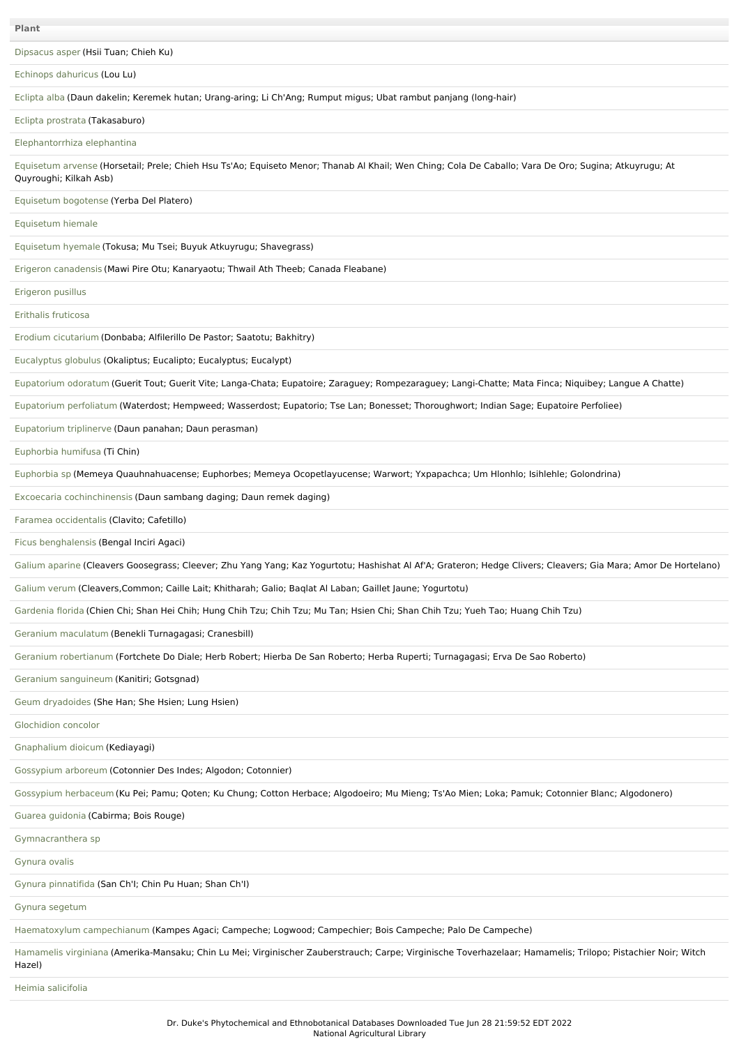[Dipsacus](file:///phytochem/ethnoPlants/show/1456) asper (Hsii Tuan; Chieh Ku)

Echinops [dahuricus](file:///phytochem/ethnoPlants/show/310) (Lou Lu)

[Eclipta](file:///phytochem/ethnoPlants/show/1193) alba (Daun dakelin; Keremek hutan; Urang-aring; Li Ch'Ang; Rumput migus; Ubat rambut panjang (long-hair)

Eclipta [prostrata](file:///phytochem/ethnoPlants/show/311) (Takasaburo)

[Elephantorrhiza](file:///phytochem/ethnoPlants/show/4935) elephantina

[Equisetum](file:///phytochem/ethnoPlants/show/1115) arvense (Horsetail; Prele; Chieh Hsu Ts'Ao; Equiseto Menor; Thanab Al Khail; Wen Ching; Cola De Caballo; Vara De Oro; Sugina; Atkuyrugu; At Quyroughi; Kilkah Asb)

[Equisetum](file:///phytochem/ethnoPlants/show/1195) bogotense (Yerba Del Platero)

[Equisetum](file:///phytochem/ethnoPlants/show/4987) hiemale

[Equisetum](file:///phytochem/ethnoPlants/show/3023) hyemale (Tokusa; Mu Tsei; Buyuk Atkuyrugu; Shavegrass)

Erigeron [canadensis](file:///phytochem/ethnoPlants/show/3024) (Mawi Pire Otu; Kanaryaotu; Thwail Ath Theeb; Canada Fleabane)

[Erigeron](file:///phytochem/ethnoPlants/show/3025) pusillus

[Erithalis](file:///phytochem/ethnoPlants/show/8224) fruticosa

Erodium [cicutarium](file:///phytochem/ethnoPlants/show/6191) (Donbaba; Alfilerillo De Pastor; Saatotu; Bakhitry)

[Eucalyptus](file:///phytochem/ethnoPlants/show/2105) globulus (Okaliptus; Eucalipto; Eucalyptus; Eucalypt)

[Eupatorium](file:///phytochem/ethnoPlants/show/1439) odoratum (Guerit Tout; Guerit Vite; Langa-Chata; Eupatoire; Zaraguey; Rompezaraguey; Langi-Chatte; Mata Finca; Niquibey; Langue A Chatte)

[Eupatorium](file:///phytochem/ethnoPlants/show/1666) perfoliatum (Waterdost; Hempweed; Wasserdost; Eupatorio; Tse Lan; Bonesset; Thoroughwort; Indian Sage; Eupatoire Perfoliee)

[Eupatorium](file:///phytochem/ethnoPlants/show/3939) triplinerve (Daun panahan; Daun perasman)

[Euphorbia](file:///phytochem/ethnoPlants/show/3548) humifusa (Ti Chin)

[Euphorbia](file:///phytochem/ethnoPlants/show/2541) sp (Memeya Quauhnahuacense; Euphorbes; Memeya Ocopetlayucense; Warwort; Yxpapachca; Um Hlonhlo; Isihlehle; Golondrina)

Excoecaria [cochinchinensis](file:///phytochem/ethnoPlants/show/6511) (Daun sambang daging; Daun remek daging)

Faramea [occidentalis](file:///phytochem/ethnoPlants/show/7624) (Clavito; Cafetillo)

Ficus [benghalensis](file:///phytochem/ethnoPlants/show/318) (Bengal Inciri Agaci)

Galium [aparine](file:///phytochem/ethnoPlants/show/1274) (Cleavers Goosegrass; Cleever; Zhu Yang Yang; Kaz Yogurtotu; Hashishat Al Af'A; Grateron; Hedge Clivers; Cleavers; Gia Mara; Amor De Hortelano)

[Galium](file:///phytochem/ethnoPlants/show/1275) verum (Cleavers,Common; Caille Lait; Khitharah; Galio; Baqlat Al Laban; Gaillet Jaune; Yogurtotu)

[Gardenia](file:///phytochem/ethnoPlants/show/2124) florida (Chien Chi; Shan Hei Chih; Hung Chih Tzu; Chih Tzu; Mu Tan; Hsien Chi; Shan Chih Tzu; Yueh Tao; Huang Chih Tzu)

Geranium [maculatum](file:///phytochem/ethnoPlants/show/3042) (Benekli Turnagagasi; Cranesbill)

Geranium [robertianum](file:///phytochem/ethnoPlants/show/3044) (Fortchete Do Diale; Herb Robert; Hierba De San Roberto; Herba Ruperti; Turnagagasi; Erva De Sao Roberto)

Geranium [sanguineum](file:///phytochem/ethnoPlants/show/3045) (Kanitiri; Gotsgnad)

Geum [dryadoides](file:///phytochem/ethnoPlants/show/2022) (She Han; She Hsien; Lung Hsien)

[Glochidion](file:///phytochem/ethnoPlants/show/909) concolor

[Gnaphalium](file:///phytochem/ethnoPlants/show/3050) dioicum (Kediayagi)

[Gossypium](file:///phytochem/ethnoPlants/show/510) arboreum (Cotonnier Des Indes; Algodon; Cotonnier)

[Gossypium](file:///phytochem/ethnoPlants/show/185) herbaceum (Ku Pei; Pamu; Qoten; Ku Chung; Cotton Herbace; Algodoeiro; Mu Mieng; Ts'Ao Mien; Loka; Pamuk; Cotonnier Blanc; Algodonero)

Guarea [guidonia](file:///phytochem/ethnoPlants/show/6780) (Cabirma; Bois Rouge)

[Gymnacranthera](file:///phytochem/ethnoPlants/show/12156) sp

[Gynura](file:///phytochem/ethnoPlants/show/7625) ovalis

Gynura [pinnatifida](file:///phytochem/ethnoPlants/show/3056) (San Ch'I; Chin Pu Huan; Shan Ch'I)

Gynura [segetum](file:///phytochem/ethnoPlants/show/1153)

[Haematoxylum](file:///phytochem/ethnoPlants/show/1687) campechianum (Kampes Agaci; Campeche; Logwood; Campechier; Bois Campeche; Palo De Campeche)

[Hamamelis](file:///phytochem/ethnoPlants/show/443) virginiana (Amerika-Mansaku; Chin Lu Mei; Virginischer Zauberstrauch; Carpe; Virginische Toverhazelaar; Hamamelis; Trilopo; Pistachier Noir; Witch Hazel)

Heimia [salicifolia](file:///phytochem/ethnoPlants/show/1954)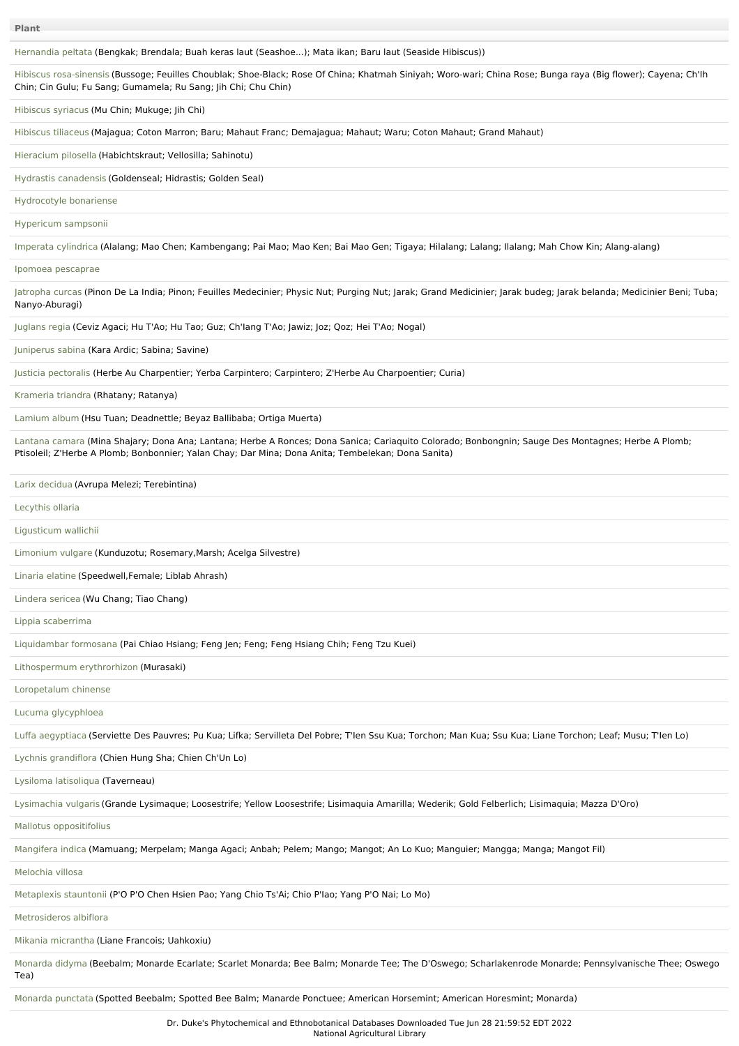[Hernandia](file:///phytochem/ethnoPlants/show/2011) peltata (Bengkak; Brendala; Buah keras laut (Seashoe...); Mata ikan; Baru laut (Seaside Hibiscus))

Hibiscus [rosa-sinensis](file:///phytochem/ethnoPlants/show/190) (Bussoge; Feuilles Choublak; Shoe-Black; Rose Of China; Khatmah Siniyah; Woro-wari; China Rose; Bunga raya (Big flower); Cayena; Ch'Ih Chin; Cin Gulu; Fu Sang; Gumamela; Ru Sang; Jih Chi; Chu Chin)

[Hibiscus](file:///phytochem/ethnoPlants/show/1914) syriacus (Mu Chin; Mukuge; Jih Chi)

[Hibiscus](file:///phytochem/ethnoPlants/show/513) tiliaceus (Majagua; Coton Marron; Baru; Mahaut Franc; Demajagua; Mahaut; Waru; Coton Mahaut; Grand Mahaut)

[Hieracium](file:///phytochem/ethnoPlants/show/3905) pilosella (Habichtskraut; Vellosilla; Sahinotu)

Hydrastis [canadensis](file:///phytochem/ethnoPlants/show/1286) (Goldenseal; Hidrastis; Golden Seal)

[Hydrocotyle](file:///phytochem/ethnoPlants/show/7626) bonariense

[Hypericum](file:///phytochem/ethnoPlants/show/3555) sampsonii

Imperata [cylindrica](file:///phytochem/ethnoPlants/show/1442) (Alalang; Mao Chen; Kambengang; Pai Mao; Mao Ken; Bai Mao Gen; Tigaya; Hilalang; Lalang; Ilalang; Mah Chow Kin; Alang-alang)

Ipomoea [pescaprae](file:///phytochem/ethnoPlants/show/929)

[Jatropha](file:///phytochem/ethnoPlants/show/193) curcas (Pinon De La India; Pinon; Feuilles Medecinier; Physic Nut; Purging Nut; Jarak; Grand Medicinier; Jarak budeg; Jarak belanda; Medicinier Beni; Tuba; Nanyo-Aburagi)

[Juglans](file:///phytochem/ethnoPlants/show/446) regia (Ceviz Agaci; Hu T'Ao; Hu Tao; Guz; Ch'Iang T'Ao; Jawiz; Joz; Qoz; Hei T'Ao; Nogal)

[Juniperus](file:///phytochem/ethnoPlants/show/194) sabina (Kara Ardic; Sabina; Savine)

Justicia [pectoralis](file:///phytochem/ethnoPlants/show/934) (Herbe Au Charpentier; Yerba Carpintero; Carpintero; Z'Herbe Au Charpoentier; Curia)

[Krameria](file:///phytochem/ethnoPlants/show/3075) triandra (Rhatany; Ratanya)

[Lamium](file:///phytochem/ethnoPlants/show/3077) album (Hsu Tuan; Deadnettle; Beyaz Ballibaba; Ortiga Muerta)

[Lantana](file:///phytochem/ethnoPlants/show/70) camara (Mina Shajary; Dona Ana; Lantana; Herbe A Ronces; Dona Sanica; Cariaquito Colorado; Bonbongnin; Sauge Des Montagnes; Herbe A Plomb; Ptisoleil; Z'Herbe A Plomb; Bonbonnier; Yalan Chay; Dar Mina; Dona Anita; Tembelekan; Dona Sanita)

Larix [decidua](file:///phytochem/ethnoPlants/show/2211) (Avrupa Melezi; Terebintina)

[Lecythis](file:///phytochem/ethnoPlants/show/5718) ollaria

[Ligusticum](file:///phytochem/ethnoPlants/show/699) wallichii

[Limonium](file:///phytochem/ethnoPlants/show/3086) vulgare (Kunduzotu; Rosemary,Marsh; Acelga Silvestre)

[Linaria](file:///phytochem/ethnoPlants/show/3087) elatine (Speedwell,Female; Liblab Ahrash)

[Lindera](file:///phytochem/ethnoPlants/show/6856) sericea (Wu Chang; Tiao Chang)

Lippia [scaberrima](file:///phytochem/ethnoPlants/show/7627)

[Liquidambar](file:///phytochem/ethnoPlants/show/1715) formosana (Pai Chiao Hsiang; Feng Jen; Feng; Feng Hsiang Chih; Feng Tzu Kuei)

[Lithospermum](file:///phytochem/ethnoPlants/show/339) erythrorhizon (Murasaki)

[Loropetalum](file:///phytochem/ethnoPlants/show/5397) chinense

Lucuma [glycyphloea](file:///phytochem/ethnoPlants/show/3090)

Luffa [aegyptiaca](file:///phytochem/ethnoPlants/show/1464) (Serviette Des Pauvres; Pu Kua; Lifka; Servilleta Del Pobre; T'Ien Ssu Kua; Torchon; Man Kua; Ssu Kua; Liane Torchon; Leaf; Musu; T'Ien Lo)

Lychnis [grandiflora](file:///phytochem/ethnoPlants/show/1721) (Chien Hung Sha; Chien Ch'Un Lo)

Lysiloma [latisoliqua](file:///phytochem/ethnoPlants/show/7628) (Taverneau)

[Lysimachia](file:///phytochem/ethnoPlants/show/3095) vulgaris (Grande Lysimaque; Loosestrife; Yellow Loosestrife; Lisimaquia Amarilla; Wederik; Gold Felberlich; Lisimaquia; Mazza D'Oro)

Mallotus [oppositifolius](file:///phytochem/ethnoPlants/show/4852)

[Mangifera](file:///phytochem/ethnoPlants/show/1503) indica (Mamuang; Merpelam; Manga Agaci; Anbah; Pelem; Mango; Mangot; An Lo Kuo; Manguier; Mangga; Manga; Mangot Fil)

[Melochia](file:///phytochem/ethnoPlants/show/2501) villosa

[Metaplexis](file:///phytochem/ethnoPlants/show/3471) stauntonii (P'O P'O Chen Hsien Pao; Yang Chio Ts'Ai; Chio P'Iao; Yang P'O Nai; Lo Mo)

[Metrosideros](file:///phytochem/ethnoPlants/show/1731) albiflora

Mikania [micrantha](file:///phytochem/ethnoPlants/show/3472) (Liane Francois; Uahkoxiu)

[Monarda](file:///phytochem/ethnoPlants/show/2471) didyma (Beebalm; Monarde Ecarlate; Scarlet Monarda; Bee Balm; Monarde Tee; The D'Oswego; Scharlakenrode Monarde; Pennsylvanische Thee; Oswego Tea)

[Monarda](file:///phytochem/ethnoPlants/show/4650) punctata (Spotted Beebalm; Spotted Bee Balm; Manarde Ponctuee; American Horsemint; American Horesmint; Monarda)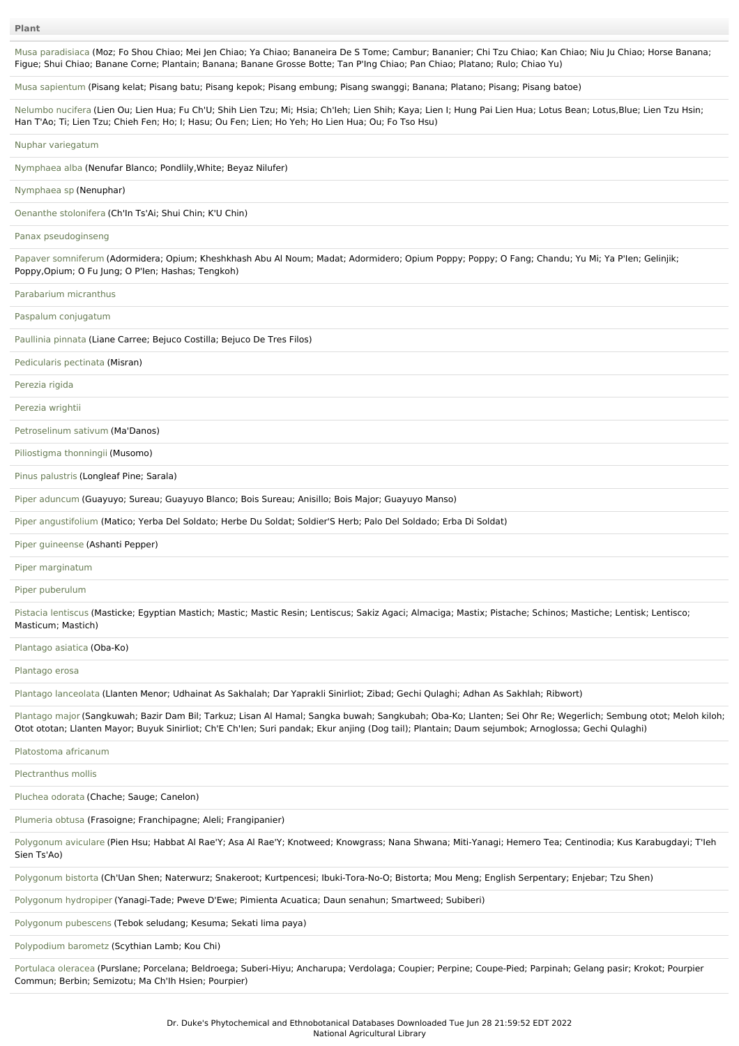Musa [paradisiaca](file:///phytochem/ethnoPlants/show/352) (Moz; Fo Shou Chiao; Mei Jen Chiao; Ya Chiao; Bananeira De S Tome; Cambur; Bananier; Chi Tzu Chiao; Kan Chiao; Niu Ju Chiao; Horse Banana; Figue; Shui Chiao; Banane Corne; Plantain; Banana; Banane Grosse Botte; Tan P'Ing Chiao; Pan Chiao; Platano; Rulo; Chiao Yu)

Musa [sapientum](file:///phytochem/ethnoPlants/show/2830) (Pisang kelat; Pisang batu; Pisang kepok; Pisang embung; Pisang swanggi; Banana; Platano; Pisang; Pisang batoe)

[Nelumbo](file:///phytochem/ethnoPlants/show/81) nucifera (Lien Ou; Lien Hua; Fu Ch'U; Shih Lien Tzu; Mi; Hsia; Ch'Ieh; Lien Shih; Kaya; Lien I; Hung Pai Lien Hua; Lotus Bean; Lotus,Blue; Lien Tzu Hsin; Han T'Ao; Ti; Lien Tzu; Chieh Fen; Ho; I; Hasu; Ou Fen; Lien; Ho Yeh; Ho Lien Hua; Ou; Fo Tso Hsu)

Nuphar [variegatum](file:///phytochem/ethnoPlants/show/7724)

[Nymphaea](file:///phytochem/ethnoPlants/show/1485) alba (Nenufar Blanco; Pondlily,White; Beyaz Nilufer)

[Nymphaea](file:///phytochem/ethnoPlants/show/6015) sp (Nenuphar)

Oenanthe [stolonifera](file:///phytochem/ethnoPlants/show/1158) (Ch'In Ts'Ai; Shui Chin; K'U Chin)

Panax [pseudoginseng](file:///phytochem/ethnoPlants/show/1316)

Papaver [somniferum](file:///phytochem/ethnoPlants/show/744) (Adormidera; Opium; Kheshkhash Abu Al Noum; Madat; Adormidero; Opium Poppy; Poppy; O Fang; Chandu; Yu Mi; Ya P'Ien; Gelinjik; Poppy,Opium; O Fu Jung; O P'Ien; Hashas; Tengkoh)

[Parabarium](file:///phytochem/ethnoPlants/show/1750) micranthus

Paspalum [conjugatum](file:///phytochem/ethnoPlants/show/6982)

[Paullinia](file:///phytochem/ethnoPlants/show/87) pinnata (Liane Carree; Bejuco Costilla; Bejuco De Tres Filos)

[Pedicularis](file:///phytochem/ethnoPlants/show/7598) pectinata (Misran)

[Perezia](file:///phytochem/ethnoPlants/show/5106) rigida

[Perezia](file:///phytochem/ethnoPlants/show/8359) wrightii

[Petroselinum](file:///phytochem/ethnoPlants/show/1413) sativum (Ma'Danos)

[Piliostigma](file:///phytochem/ethnoPlants/show/959) thonningii (Musomo)

Pinus [palustris](file:///phytochem/ethnoPlants/show/2242) (Longleaf Pine; Sarala)

Piper [aduncum](file:///phytochem/ethnoPlants/show/3137) (Guayuyo; Sureau; Guayuyo Blanco; Bois Sureau; Anisillo; Bois Major; Guayuyo Manso)

Piper [angustifolium](file:///phytochem/ethnoPlants/show/2245) (Matico; Yerba Del Soldato; Herbe Du Soldat; Soldier'S Herb; Palo Del Soldado; Erba Di Soldat)

Piper [guineense](file:///phytochem/ethnoPlants/show/458) (Ashanti Pepper)

Piper [marginatum](file:///phytochem/ethnoPlants/show/760)

Piper [puberulum](file:///phytochem/ethnoPlants/show/3808)

Pistacia [lentiscus](file:///phytochem/ethnoPlants/show/1468) (Masticke; Egyptian Mastich; Mastic; Mastic Resin; Lentiscus; Sakiz Agaci; Almaciga; Mastix; Pistache; Schinos; Mastiche; Lentisk; Lentisco; Masticum; Mastich)

[Plantago](file:///phytochem/ethnoPlants/show/534) asiatica (Oba-Ko)

[Plantago](file:///phytochem/ethnoPlants/show/764) erosa

Plantago [lanceolata](file:///phytochem/ethnoPlants/show/1324) (Llanten Menor; Udhainat As Sakhalah; Dar Yaprakli Sinirliot; Zibad; Gechi Qulaghi; Adhan As Sakhlah; Ribwort)

[Plantago](file:///phytochem/ethnoPlants/show/535) major (Sangkuwah; Bazir Dam Bil; Tarkuz; Lisan Al Hamal; Sangka buwah; Sangkubah; Oba-Ko; Llanten; Sei Ohr Re; Wegerlich; Sembung otot; Meloh kiloh; Otot ototan; Llanten Mayor; Buyuk Sinirliot; Ch'E Ch'Ien; Suri pandak; Ekur anjing (Dog tail); Plantain; Daum sejumbok; Arnoglossa; Gechi Qulaghi)

[Platostoma](file:///phytochem/ethnoPlants/show/5417) africanum

[Plectranthus](file:///phytochem/ethnoPlants/show/7201) mollis

[Pluchea](file:///phytochem/ethnoPlants/show/1979) odorata (Chache; Sauge; Canelon)

[Plumeria](file:///phytochem/ethnoPlants/show/3813) obtusa (Frasoigne; Franchipagne; Aleli; Frangipanier)

[Polygonum](file:///phytochem/ethnoPlants/show/1777) aviculare (Pien Hsu; Habbat Al Rae'Y; Asa Al Rae'Y; Knotweed; Knowgrass; Nana Shwana; Miti-Yanagi; Hemero Tea; Centinodia; Kus Karabugdayi; T'leh Sien Ts'Ao)

[Polygonum](file:///phytochem/ethnoPlants/show/1415) bistorta (Ch'Uan Shen; Naterwurz; Snakeroot; Kurtpencesi; Ibuki-Tora-No-O; Bistorta; Mou Meng; English Serpentary; Enjebar; Tzu Shen)

[Polygonum](file:///phytochem/ethnoPlants/show/2683) hydropiper (Yanagi-Tade; Pweve D'Ewe; Pimienta Acuatica; Daun senahun; Smartweed; Subiberi)

[Polygonum](file:///phytochem/ethnoPlants/show/6695) pubescens (Tebok seludang; Kesuma; Sekati lima paya)

[Polypodium](file:///phytochem/ethnoPlants/show/7629) barometz (Scythian Lamb; Kou Chi)

[Portulaca](file:///phytochem/ethnoPlants/show/1162) oleracea (Purslane; Porcelana; Beldroega; Suberi-Hiyu; Ancharupa; Verdolaga; Coupier; Perpine; Coupe-Pied; Parpinah; Gelang pasir; Krokot; Pourpier Commun; Berbin; Semizotu; Ma Ch'Ih Hsien; Pourpier)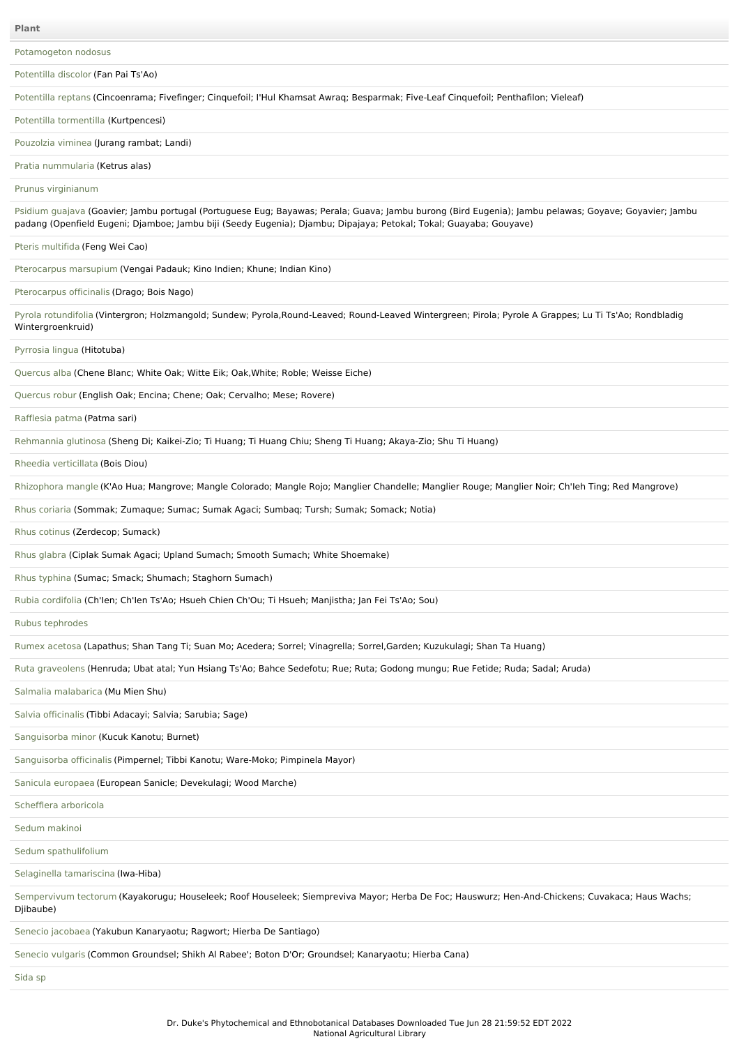[Potamogeton](file:///phytochem/ethnoPlants/show/3152) nodosus [Potentilla](file:///phytochem/ethnoPlants/show/3154) discolor (Fan Pai Ts'Ao) [Potentilla](file:///phytochem/ethnoPlants/show/3158) reptans (Cincoenrama; Fivefinger; Cinquefoil; I'Hul Khamsat Awraq; Besparmak; Five-Leaf Cinquefoil; Penthafilon; Vieleaf) Potentilla [tormentilla](file:///phytochem/ethnoPlants/show/1916) (Kurtpencesi) [Pouzolzia](file:///phytochem/ethnoPlants/show/7590) viminea (Jurang rambat; Landi) Pratia [nummularia](file:///phytochem/ethnoPlants/show/4931) (Ketrus alas) Prunus [virginianum](file:///phytochem/ethnoPlants/show/6471) [Psidium](file:///phytochem/ethnoPlants/show/977) guajava (Goavier; Jambu portugal (Portuguese Eug; Bayawas; Perala; Guava; Jambu burong (Bird Eugenia); Jambu pelawas; Goyave; Goyavier; Jambu padang (Openfield Eugeni; Djamboe; Jambu biji (Seedy Eugenia); Djambu; Dipajaya; Petokal; Tokal; Guayaba; Gouyave) Pteris [multifida](file:///phytochem/ethnoPlants/show/1787) (Feng Wei Cao) [Pterocarpus](file:///phytochem/ethnoPlants/show/980) marsupium (Vengai Padauk; Kino Indien; Khune; Indian Kino) [Pterocarpus](file:///phytochem/ethnoPlants/show/3168) officinalis (Drago; Bois Nago) Pyrola [rotundifolia](file:///phytochem/ethnoPlants/show/3170) (Vintergron; Holzmangold; Sundew; Pyrola,Round-Leaved; Round-Leaved Wintergreen; Pirola; Pyrole A Grappes; Lu Ti Ts'Ao; Rondbladig Wintergroenkruid) [Pyrrosia](file:///phytochem/ethnoPlants/show/6286) lingua (Hitotuba) [Quercus](file:///phytochem/ethnoPlants/show/2715) alba (Chene Blanc; White Oak; Witte Eik; Oak,White; Roble; Weisse Eiche) [Quercus](file:///phytochem/ethnoPlants/show/3176) robur (English Oak; Encina; Chene; Oak; Cervalho; Mese; Rovere) [Rafflesia](file:///phytochem/ethnoPlants/show/2618) patma (Patma sari) [Rehmannia](file:///phytochem/ethnoPlants/show/1328) glutinosa (Sheng Di; Kaikei-Zio; Ti Huang; Ti Huang Chiu; Sheng Ti Huang; Akaya-Zio; Shu Ti Huang) Rheedia [verticillata](file:///phytochem/ethnoPlants/show/5788) (Bois Diou) [Rhizophora](file:///phytochem/ethnoPlants/show/1559) mangle (K'Ao Hua; Mangrove; Mangle Colorado; Mangle Rojo; Manglier Chandelle; Manglier Rouge; Manglier Noir; Ch'Ieh Ting; Red Mangrove) Rhus [coriaria](file:///phytochem/ethnoPlants/show/3186) (Sommak; Zumaque; Sumac; Sumak Agaci; Sumbaq; Tursh; Sumak; Somack; Notia) Rhus [cotinus](file:///phytochem/ethnoPlants/show/2263) (Zerdecop; Sumack) Rhus [glabra](file:///phytochem/ethnoPlants/show/2865) (Ciplak Sumak Agaci; Upland Sumach; Smooth Sumach; White Shoemake) Rhus [typhina](file:///phytochem/ethnoPlants/show/7388) (Sumac; Smack; Shumach; Staghorn Sumach) Rubia [cordifolia](file:///phytochem/ethnoPlants/show/107) (Ch'Ien; Ch'Ien Ts'Ao; Hsueh Chien Ch'Ou; Ti Hsueh; Manjistha; Jan Fei Ts'Ao; Sou) Rubus [tephrodes](file:///phytochem/ethnoPlants/show/1419) Rumex [acetosa](file:///phytochem/ethnoPlants/show/3930) (Lapathus; Shan Tang Ti; Suan Mo; Acedera; Sorrel; Vinagrella; Sorrel,Garden; Kuzukulagi; Shan Ta Huang) Ruta [graveolens](file:///phytochem/ethnoPlants/show/232) (Henruda; Ubat atal; Yun Hsiang Ts'Ao; Bahce Sedefotu; Rue; Ruta; Godong mungu; Rue Fetide; Ruda; Sadal; Aruda) Salmalia [malabarica](file:///phytochem/ethnoPlants/show/3199) (Mu Mien Shu) Salvia [officinalis](file:///phytochem/ethnoPlants/show/2107) (Tibbi Adacayi; Salvia; Sarubia; Sage) [Sanguisorba](file:///phytochem/ethnoPlants/show/2485) minor (Kucuk Kanotu; Burnet) [Sanguisorba](file:///phytochem/ethnoPlants/show/1800) officinalis (Pimpernel; Tibbi Kanotu; Ware-Moko; Pimpinela Mayor) Sanicula [europaea](file:///phytochem/ethnoPlants/show/1336) (European Sanicle; Devekulagi; Wood Marche) [Schefflera](file:///phytochem/ethnoPlants/show/1803) arboricola Sedum [makinoi](file:///phytochem/ethnoPlants/show/382) Sedum [spathulifolium](file:///phytochem/ethnoPlants/show/7630) Selaginella [tamariscina](file:///phytochem/ethnoPlants/show/1425) (Iwa-Hiba) [Sempervivum](file:///phytochem/ethnoPlants/show/1343) tectorum (Kayakorugu; Houseleek; Roof Houseleek; Siempreviva Mayor; Herba De Foc; Hauswurz; Hen-And-Chickens; Cuvakaca; Haus Wachs; Djibaube) Senecio [jacobaea](file:///phytochem/ethnoPlants/show/4335) (Yakubun Kanaryaotu; Ragwort; Hierba De Santiago) [Senecio](file:///phytochem/ethnoPlants/show/1426) vulgaris (Common Groundsel; Shikh Al Rabee'; Boton D'Or; Groundsel; Kanaryaotu; Hierba Cana)

[Sida](file:///phytochem/ethnoPlants/show/6480) sp

**Plant**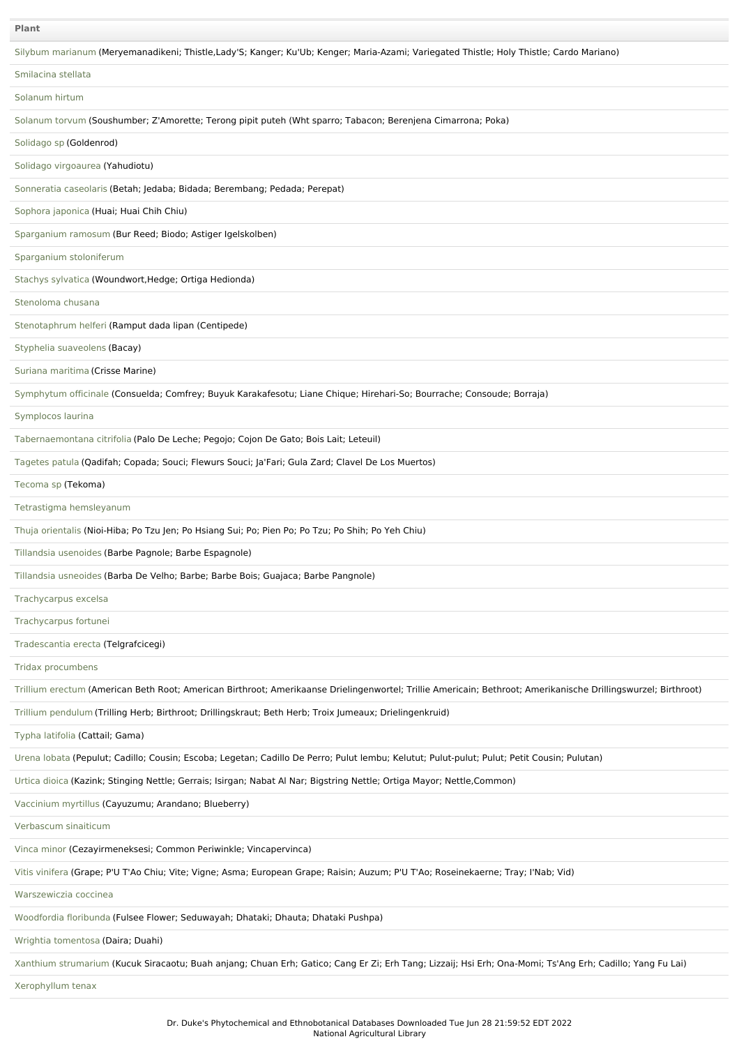# **Plant**

| Plant                                                                                                                                                          |
|----------------------------------------------------------------------------------------------------------------------------------------------------------------|
| Silybum marianum (Meryemanadikeni; Thistle,Lady'S; Kanger; Ku'Ub; Kenger; Maria-Azami; Variegated Thistle; Holy Thistle; Cardo Mariano)                        |
| Smilacina stellata                                                                                                                                             |
| Solanum hirtum                                                                                                                                                 |
| Solanum torvum (Soushumber; Z'Amorette; Terong pipit puteh (Wht sparro; Tabacon; Berenjena Cimarrona; Poka)                                                    |
| Solidago sp (Goldenrod)                                                                                                                                        |
| Solidago virgoaurea (Yahudiotu)                                                                                                                                |
| Sonneratia caseolaris (Betah; Jedaba; Bidada; Berembang; Pedada; Perepat)                                                                                      |
| Sophora japonica (Huai; Huai Chih Chiu)                                                                                                                        |
| Sparganium ramosum (Bur Reed; Biodo; Astiger Igelskolben)                                                                                                      |
| Sparganium stoloniferum                                                                                                                                        |
| Stachys sylvatica (Woundwort, Hedge; Ortiga Hedionda)                                                                                                          |
| Stenoloma chusana                                                                                                                                              |
| Stenotaphrum helferi (Ramput dada lipan (Centipede)                                                                                                            |
| Styphelia suaveolens (Bacay)                                                                                                                                   |
| Suriana maritima (Crisse Marine)                                                                                                                               |
| Symphytum officinale (Consuelda; Comfrey; Buyuk Karakafesotu; Liane Chique; Hirehari-So; Bourrache; Consoude; Borraja)                                         |
| Symplocos laurina                                                                                                                                              |
| Tabernaemontana citrifolia (Palo De Leche; Pegojo; Cojon De Gato; Bois Lait; Leteuil)                                                                          |
| Tagetes patula (Qadifah; Copada; Souci; Flewurs Souci; Ja'Fari; Gula Zard; Clavel De Los Muertos)                                                              |
| Tecoma sp (Tekoma)                                                                                                                                             |
| Tetrastigma hemsleyanum                                                                                                                                        |
| Thuja orientalis (Nioi-Hiba; Po Tzu Jen; Po Hsiang Sui; Po; Pien Po; Po Tzu; Po Shih; Po Yeh Chiu)                                                             |
| Tillandsia usenoides (Barbe Pagnole; Barbe Espagnole)                                                                                                          |
| Tillandsia usneoides (Barba De Velho; Barbe; Barbe Bois; Guajaca; Barbe Pangnole)                                                                              |
| Trachycarpus excelsa                                                                                                                                           |
| Trachycarpus fortunei                                                                                                                                          |
| Tradescantia erecta (Telgrafcicegi)                                                                                                                            |
| Tridax procumbens                                                                                                                                              |
| Trillium erectum (American Beth Root; American Birthroot; Amerikaanse Drielingenwortel; Trillie Americain; Bethroot; Amerikanische Drillingswurzel; Birthroot) |
| Trillium pendulum (Trilling Herb; Birthroot; Drillingskraut; Beth Herb; Troix Jumeaux; Drielingenkruid)                                                        |
| Typha latifolia (Cattail; Gama)                                                                                                                                |
| Urena lobata (Pepulut; Cadillo; Cousin; Escoba; Legetan; Cadillo De Perro; Pulut lembu; Kelutut; Pulut-pulut; Pulut; Petit Cousin; Pulutan)                    |
| Urtica dioica (Kazink; Stinging Nettle; Gerrais; Isirgan; Nabat Al Nar; Bigstring Nettle; Ortiga Mayor; Nettle, Common)                                        |
| Vaccinium myrtillus (Cayuzumu; Arandano; Blueberry)                                                                                                            |
| Verbascum sinaiticum                                                                                                                                           |
| Vinca minor (Cezayirmeneksesi; Common Periwinkle; Vincapervinca)                                                                                               |
| Vitis vinifera (Grape; P'U T'Ao Chiu; Vite; Vigne; Asma; European Grape; Raisin; Auzum; P'U T'Ao; Roseinekaerne; Tray; I'Nab; Vid)                             |
| Warszewiczia coccinea                                                                                                                                          |
| Woodfordia floribunda (Fulsee Flower; Seduwayah; Dhataki; Dhauta; Dhataki Pushpa)                                                                              |
| Wrightia tomentosa (Daira; Duahi)                                                                                                                              |
| Xanthium strumarium (Kucuk Siracaotu; Buah anjang; Chuan Erh; Gatico; Cang Er Zi; Erh Tang; Lizzaij; Hsi Erh; Ona-Momi; Ts'Ang Erh; Cadillo; Yang Fu Lai)      |
| Xerophyllum tenax                                                                                                                                              |